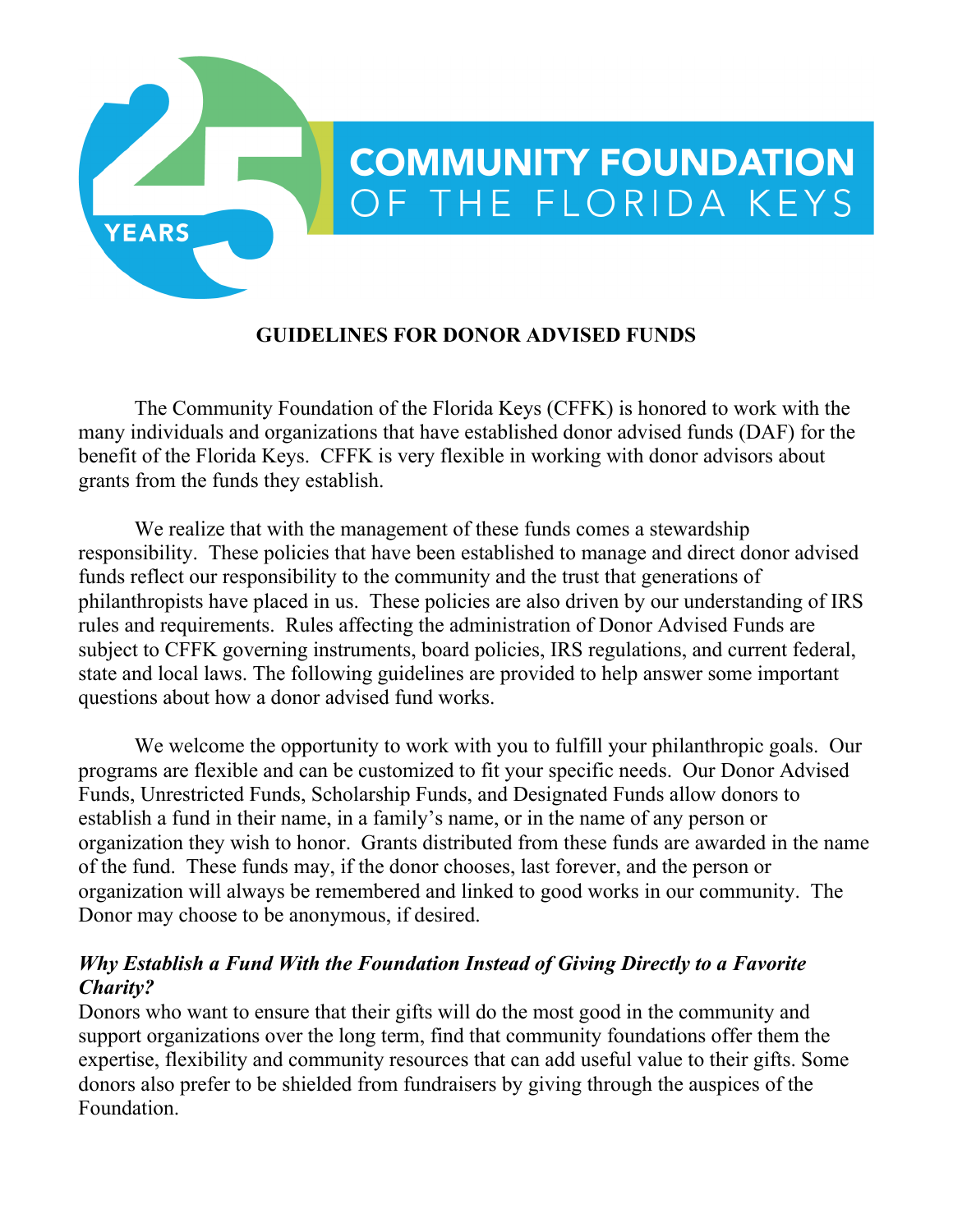

#### **GUIDELINES FOR DONOR ADVISED FUNDS**

The Community Foundation of the Florida Keys (CFFK) is honored to work with the many individuals and organizations that have established donor advised funds (DAF) for the benefit of the Florida Keys. CFFK is very flexible in working with donor advisors about grants from the funds they establish.

We realize that with the management of these funds comes a stewardship responsibility. These policies that have been established to manage and direct donor advised funds reflect our responsibility to the community and the trust that generations of philanthropists have placed in us. These policies are also driven by our understanding of IRS rules and requirements. Rules affecting the administration of Donor Advised Funds are subject to CFFK governing instruments, board policies, IRS regulations, and current federal, state and local laws. The following guidelines are provided to help answer some important questions about how a donor advised fund works.

We welcome the opportunity to work with you to fulfill your philanthropic goals. Our programs are flexible and can be customized to fit your specific needs. Our Donor Advised Funds, Unrestricted Funds, Scholarship Funds, and Designated Funds allow donors to establish a fund in their name, in a family's name, or in the name of any person or organization they wish to honor. Grants distributed from these funds are awarded in the name of the fund. These funds may, if the donor chooses, last forever, and the person or organization will always be remembered and linked to good works in our community. The Donor may choose to be anonymous, if desired.

#### *Why Establish a Fund With the Foundation Instead of Giving Directly to a Favorite Charity?*

Donors who want to ensure that their gifts will do the most good in the community and support organizations over the long term, find that community foundations offer them the expertise, flexibility and community resources that can add useful value to their gifts. Some donors also prefer to be shielded from fundraisers by giving through the auspices of the Foundation.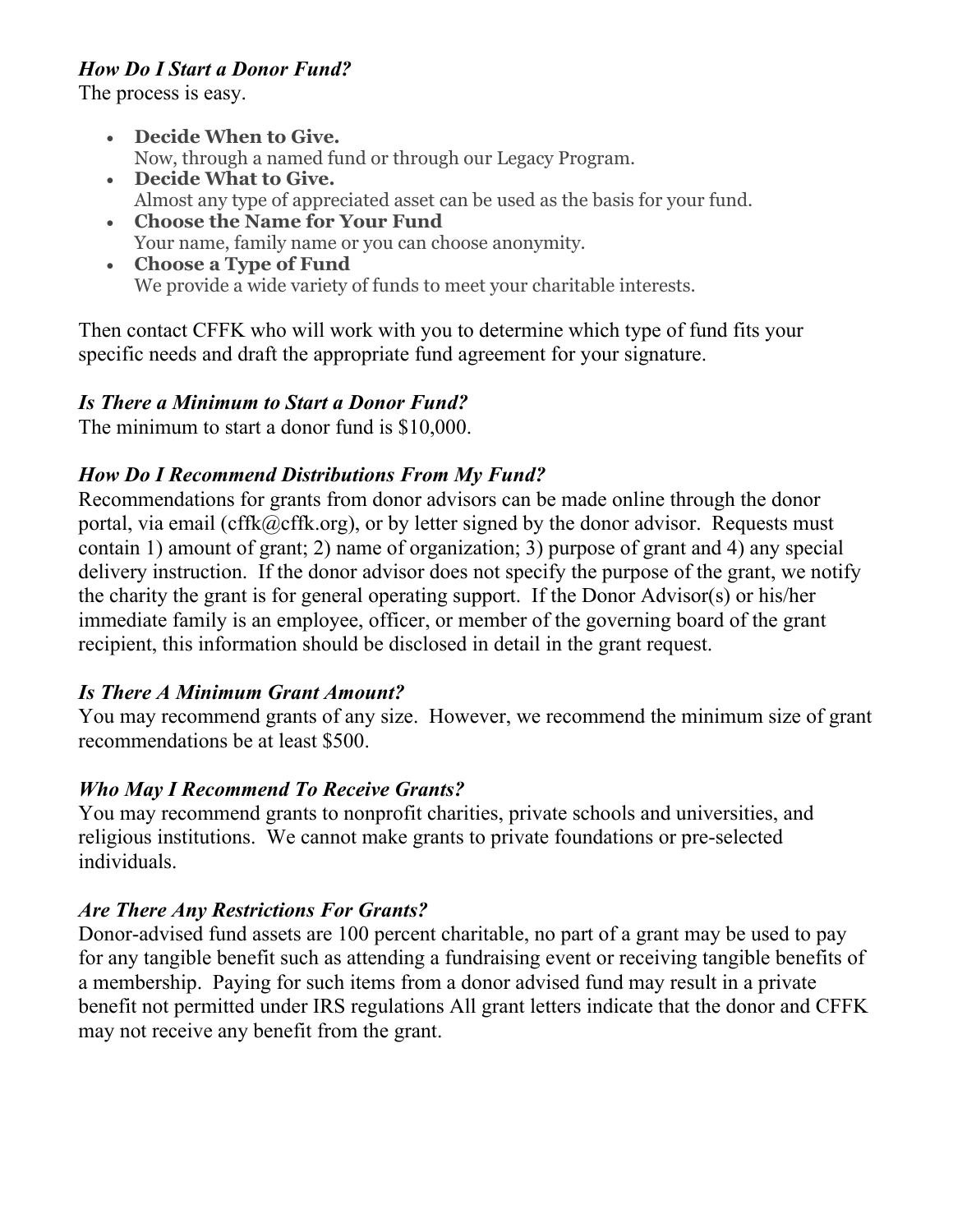# *How Do I Start a Donor Fund?*

The process is easy.

- **Decide When to Give.** Now, through a named fund or through our Legacy Program.
- **Decide What to Give.** Almost any type of appreciated asset can be used as the basis for your fund.
- **Choose the Name for Your Fund** Your name, family name or you can choose anonymity.
- **Choose a Type of Fund** We provide a wide variety of funds to meet your charitable interests.

Then contact CFFK who will work with you to determine which type of fund fits your specific needs and draft the appropriate fund agreement for your signature.

# *Is There a Minimum to Start a Donor Fund?*

The minimum to start a donor fund is \$10,000.

# *How Do I Recommend Distributions From My Fund?*

Recommendations for grants from donor advisors can be made online through the donor portal, via email (cffk $@cffk.org$ ), or by letter signed by the donor advisor. Requests must contain 1) amount of grant; 2) name of organization; 3) purpose of grant and 4) any special delivery instruction. If the donor advisor does not specify the purpose of the grant, we notify the charity the grant is for general operating support. If the Donor Advisor(s) or his/her immediate family is an employee, officer, or member of the governing board of the grant recipient, this information should be disclosed in detail in the grant request.

## *Is There A Minimum Grant Amount?*

You may recommend grants of any size. However, we recommend the minimum size of grant recommendations be at least \$500.

## *Who May I Recommend To Receive Grants?*

You may recommend grants to nonprofit charities, private schools and universities, and religious institutions. We cannot make grants to private foundations or pre-selected individuals.

## *Are There Any Restrictions For Grants?*

Donor-advised fund assets are 100 percent charitable, no part of a grant may be used to pay for any tangible benefit such as attending a fundraising event or receiving tangible benefits of a membership. Paying for such items from a donor advised fund may result in a private benefit not permitted under IRS regulations All grant letters indicate that the donor and CFFK may not receive any benefit from the grant.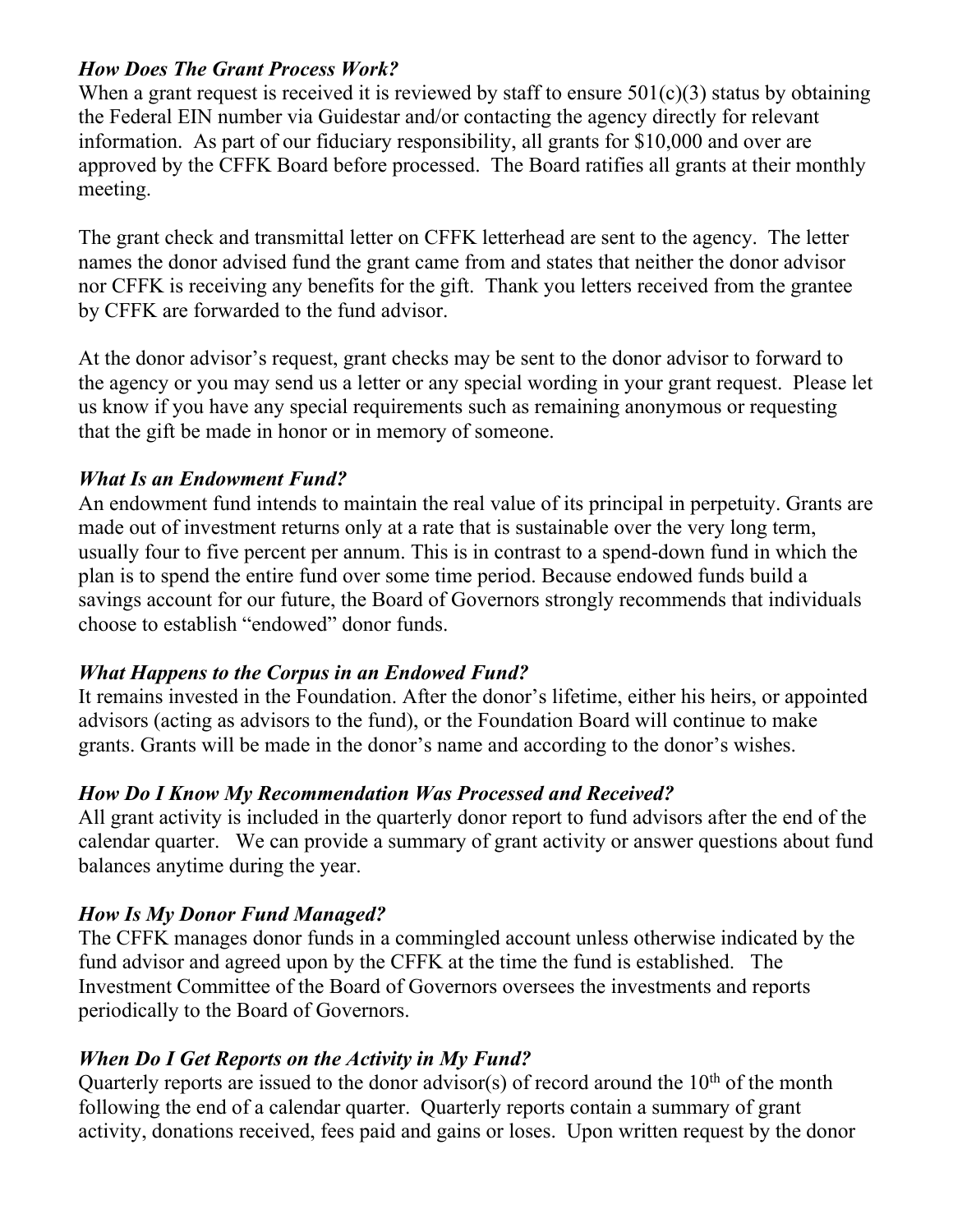#### *How Does The Grant Process Work?*

When a grant request is received it is reviewed by staff to ensure  $501(c)(3)$  status by obtaining the Federal EIN number via Guidestar and/or contacting the agency directly for relevant information. As part of our fiduciary responsibility, all grants for \$10,000 and over are approved by the CFFK Board before processed. The Board ratifies all grants at their monthly meeting.

The grant check and transmittal letter on CFFK letterhead are sent to the agency. The letter names the donor advised fund the grant came from and states that neither the donor advisor nor CFFK is receiving any benefits for the gift. Thank you letters received from the grantee by CFFK are forwarded to the fund advisor.

At the donor advisor's request, grant checks may be sent to the donor advisor to forward to the agency or you may send us a letter or any special wording in your grant request. Please let us know if you have any special requirements such as remaining anonymous or requesting that the gift be made in honor or in memory of someone.

## *What Is an Endowment Fund?*

An endowment fund intends to maintain the real value of its principal in perpetuity. Grants are made out of investment returns only at a rate that is sustainable over the very long term, usually four to five percent per annum. This is in contrast to a spend-down fund in which the plan is to spend the entire fund over some time period. Because endowed funds build a savings account for our future, the Board of Governors strongly recommends that individuals choose to establish "endowed" donor funds.

#### *What Happens to the Corpus in an Endowed Fund?*

It remains invested in the Foundation. After the donor's lifetime, either his heirs, or appointed advisors (acting as advisors to the fund), or the Foundation Board will continue to make grants. Grants will be made in the donor's name and according to the donor's wishes.

## *How Do I Know My Recommendation Was Processed and Received?*

All grant activity is included in the quarterly donor report to fund advisors after the end of the calendar quarter. We can provide a summary of grant activity or answer questions about fund balances anytime during the year.

## *How Is My Donor Fund Managed?*

The CFFK manages donor funds in a commingled account unless otherwise indicated by the fund advisor and agreed upon by the CFFK at the time the fund is established. The Investment Committee of the Board of Governors oversees the investments and reports periodically to the Board of Governors.

## *When Do I Get Reports on the Activity in My Fund?*

Quarterly reports are issued to the donor advisor(s) of record around the  $10<sup>th</sup>$  of the month following the end of a calendar quarter. Quarterly reports contain a summary of grant activity, donations received, fees paid and gains or loses. Upon written request by the donor